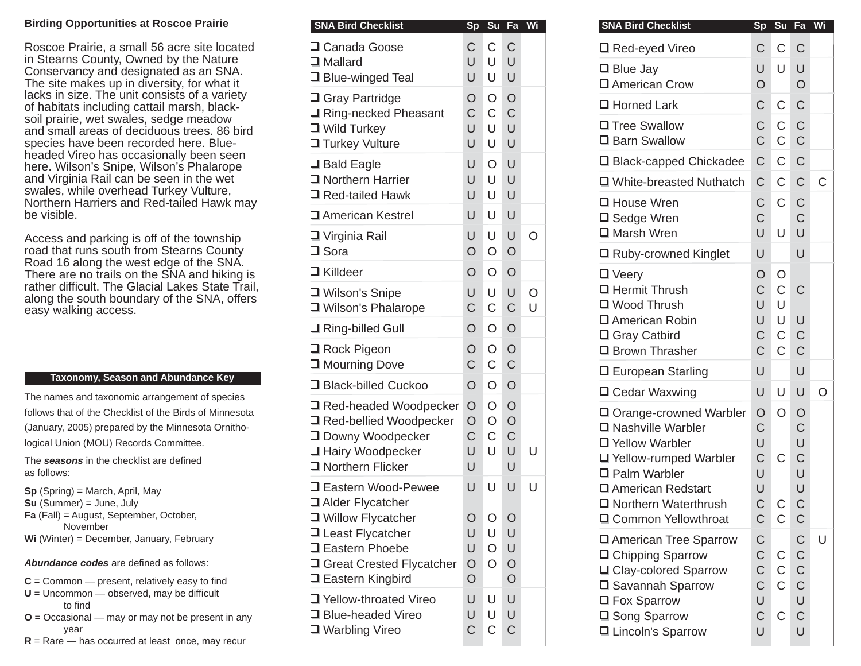## **Birding Opportunities at Roscoe Prairie**

Roscoe Prairie, a small 56 acre site located in Stearns County, Owned by the Nature Conservancy and designated as an SNA. The site makes up in diversity, for what it lacks in size. The unit consists of a variety of habitats including cattail marsh, blacksoil prairie, wet swales, sedge meadow and small areas of deciduous trees. 86 bird species have been recorded here. Blueheaded Vireo has occasionally been seen here. Wilson's Snipe, Wilson's Phalarope and Virginia Rail can be seen in the wet swales, while overhead Turkey Vulture, Northern Harriers and Red-tailed Hawk may be visible.

Access and parking is off of the township road that runs south from Stearns County Road 16 along the west edge of the SNA. There are no trails on the SNA and hiking is rather dif fi cult. The Glacial Lakes State Trail, along the south boundary of the SNA, offers easy walking access.

## **Taxonomy, Season and Abundance Key**

The names and taxonomic arrangement of species follows that of the Checklist of the Birds of Minnesota (January, 2005) prepared by the Minnesota Ornithological Union (MOU) Records Committee.

The **seasons** in the checklist are defined as follows:

**Sp** (Spring) = March, April, May

- **Su** (Summer) = June, July
- **Fa** (Fall) = August, September, October, November
- **Wi** (Winter) = December, January, February

**Abundance codes** are defined as follows:

- $C =$  Common  $-$  present, relatively easy to find
- $U =$  Uncommon  $-$  observed, may be difficult to find
- **O** = Occasional may or may not be present in any year
- **R** = Rare has occurred at least once, may recur

| <b>SNA Bird Checklist</b>                                                                  |                                        | Sp Su Fa Wi                 |                                   |         | <b>SNA Bird Checklist</b>                                                                      |                                                          | Sp Su Fa                                   |                                                          | W |
|--------------------------------------------------------------------------------------------|----------------------------------------|-----------------------------|-----------------------------------|---------|------------------------------------------------------------------------------------------------|----------------------------------------------------------|--------------------------------------------|----------------------------------------------------------|---|
| □ Canada Goose                                                                             | C                                      | $\mathsf{C}$                | $\mathsf C$                       |         | □ Red-eyed Vireo                                                                               | $\mathsf C$                                              | $\mathsf C$                                | $\mathsf{C}$                                             |   |
| $\Box$ Mallard<br>$\Box$ Blue-winged Teal                                                  | U<br>U                                 | U<br>U                      | U<br>U                            |         | $\Box$ Blue Jay<br>□ American Crow                                                             | U<br>$\circ$                                             | U                                          | U<br>$\circ$                                             |   |
| □ Gray Partridge                                                                           | O                                      | O                           | $\circ$                           |         | □ Horned Lark                                                                                  | $\mathsf C$                                              | $\mathsf C$                                | $\mathsf C$                                              |   |
| □ Ring-necked Pheasant<br>□ Wild Turkey<br>□ Turkey Vulture                                | C<br>U<br>U                            | $\mathsf C$<br>U<br>U       | $\mathsf C$<br>U<br>U             |         | □ Tree Swallow<br>□ Barn Swallow                                                               | C<br>$\overline{C}$                                      | $\mathsf C$<br>$\mathsf C$                 | $\mathsf{C}$<br>$\mathsf C$                              |   |
| $\Box$ Bald Eagle                                                                          | U                                      | $\circ$                     | U                                 |         | □ Black-capped Chickadee                                                                       | $\mathsf C$                                              | $\mathsf C$                                | $\mathsf C$                                              |   |
| $\Box$ Northern Harrier<br>$\Box$ Red-tailed Hawk                                          | U<br>U                                 | U<br>U                      | U<br>U                            |         | □ White-breasted Nuthatch                                                                      | $\mathsf C$                                              | $\mathsf C$                                | $\mathsf C$                                              | C |
| □ American Kestrel                                                                         | U                                      | U                           | U                                 |         | □ House Wren<br>□ Sedge Wren                                                                   | $\mathsf C$<br>$\mathsf C$                               | $\mathsf C$                                | C<br>$\mathsf C$                                         |   |
| □ Virginia Rail                                                                            | U                                      | U                           | U                                 | $\circ$ | □ Marsh Wren                                                                                   | U                                                        | U                                          | U                                                        |   |
| $\square$ Sora                                                                             | $\overline{O}$                         | $\circ$                     | $\circ$                           |         | □ Ruby-crowned Kinglet                                                                         | U                                                        |                                            | $\cup$                                                   |   |
| $\Box$ Killdeer                                                                            | $\overline{O}$                         | $\circ$                     | $\circ$                           |         | $\Box$ Veery                                                                                   | O                                                        | O                                          |                                                          |   |
| □ Wilson's Snipe                                                                           | U                                      | U                           | U<br>$\mathsf C$                  | $\circ$ | □ Hermit Thrush<br>□ Wood Thrush                                                               | $\mathsf C$<br>U                                         | $\mathsf C$<br>U                           | $\mathsf{C}$                                             |   |
| □ Wilson's Phalarope                                                                       | C                                      | $\mathsf C$                 |                                   | U       | □ American Robin                                                                               | U                                                        | U                                          | $\cup$                                                   |   |
| $\Box$ Ring-billed Gull                                                                    | $\overline{O}$                         | $\circ$                     | $\circ$                           |         | □ Gray Catbird                                                                                 | $\mathsf C$                                              | $\mathsf C$                                | $\mathsf C$                                              |   |
| $\Box$ Rock Pigeon<br>□ Mourning Dove                                                      | O<br>$\mathsf C$                       | $\circ$<br>$\mathsf C$      | $\circ$<br>$\mathsf C$            |         | □ Brown Thrasher                                                                               | $\overline{C}$                                           | $\overline{C}$                             | $\mathsf C$                                              |   |
| □ Black-billed Cuckoo                                                                      | $\overline{O}$                         | $\circ$                     | $\circ$                           |         | □ European Starling                                                                            | U                                                        |                                            | $\cup$                                                   |   |
| □ Red-headed Woodpecker                                                                    | $\circ$                                | $\circ$                     | $\circ$                           |         | □ Cedar Waxwing                                                                                | U                                                        | U                                          | U                                                        | C |
| □ Red-bellied Woodpecker<br>□ Downy Woodpecker<br>□ Hairy Woodpecker<br>□ Northern Flicker | $\circ$<br>C<br>U<br>U                 | $\circ$<br>$\mathsf C$<br>U | $\circ$<br>$\mathsf C$<br>U<br>U  | U       | □ Orange-crowned Warbler<br>□ Nashville Warbler<br>□ Yellow Warbler<br>□ Yellow-rumped Warbler | $\circ$<br>C<br>U<br>$\mathsf C$                         | $\circ$<br>$\mathsf C$                     | $\circ$<br>C<br>U<br>$\mathsf C$                         |   |
| 口 Eastern Wood-Pewee<br>□ Alder Flycatcher<br>□ Willow Flycatcher                          | U<br>O                                 | U<br>O                      | U<br>O                            | U       | □ Palm Warbler<br>□ American Redstart<br>□ Northern Waterthrush<br>□ Common Yellowthroat       | U<br>U<br>$\overline{C}$<br>C                            | $\mathsf C$<br>$\mathsf C$                 | U<br>U<br>$\overline{C}$<br>$\mathsf C$                  |   |
| □ Least Flycatcher<br>□ Eastern Phoebe<br>□ Great Crested Flycatcher<br>□ Eastern Kingbird | U<br>U<br>$\bigcirc$<br>$\overline{O}$ | U<br>$\circ$<br>$\circ$     | U<br>$\cup$<br>$\circ$<br>$\circ$ |         | □ American Tree Sparrow<br>□ Chipping Sparrow<br>□ Clay-colored Sparrow<br>□ Savannah Sparrow  | $\mathsf C$<br>$\mathsf C$<br>$\mathsf C$<br>$\mathsf C$ | $\mathsf C$<br>$\mathsf{C}$<br>$\mathsf C$ | $\mathsf C$<br>$\mathsf C$<br>$\mathsf C$<br>$\mathsf C$ | l |
| □ Yellow-throated Vireo<br>□ Blue-headed Vireo<br>□ Warbling Vireo                         | U<br>U<br>С                            | U<br>U<br>$\mathsf C$       | U<br>U<br>C                       |         | □ Fox Sparrow<br>□ Song Sparrow<br>□ Lincoln's Sparrow                                         | U<br>$\mathsf C$<br>U                                    | $\mathsf C$                                | U<br>$\mathsf C$<br>U                                    |   |

| <b>SNA Bird Checklist</b>                                                                                                                               | Sp                                                                      | Su                                           | Fa                                                                      | Wi |
|---------------------------------------------------------------------------------------------------------------------------------------------------------|-------------------------------------------------------------------------|----------------------------------------------|-------------------------------------------------------------------------|----|
| □ Red-eyed Vireo                                                                                                                                        | C                                                                       | C                                            | C                                                                       |    |
| □ Blue Jay<br>□ American Crow                                                                                                                           | U<br>$\overline{O}$                                                     | U                                            | U<br>$\overline{O}$                                                     |    |
| □ Horned Lark                                                                                                                                           | $\overline{C}$                                                          | $\mathsf C$                                  | $\overline{C}$                                                          |    |
| □ Tree Swallow<br>□ Barn Swallow                                                                                                                        | C<br>$\overline{C}$                                                     | $\mathsf C$<br>$\mathsf C$                   | $\mathsf C$<br>$\mathsf C$                                              |    |
| □ Black-capped Chickadee                                                                                                                                | $\mathsf C$                                                             | $\mathsf C$                                  | $\mathsf C$                                                             |    |
| □ White-breasted Nuthatch                                                                                                                               | C                                                                       | $\mathsf C$                                  | $\overline{C}$                                                          | C  |
| □ House Wren<br>□ Sedge Wren<br>□ Marsh Wren                                                                                                            | C<br>C<br>U                                                             | $\mathsf C$<br>U                             | $\mathsf C$<br>C<br>U                                                   |    |
| □ Ruby-crowned Kinglet                                                                                                                                  | U                                                                       |                                              | U                                                                       |    |
| □ Veery<br>口 Hermit Thrush<br>□ Wood Thrush                                                                                                             | $\overline{O}$<br>$\mathsf C$<br>U                                      | O<br>$\mathsf C$<br>U                        | C                                                                       |    |
| □ American Robin<br>□ Gray Catbird<br>□ Brown Thrasher                                                                                                  | U<br>$\mathsf C$<br>$\overline{C}$                                      | $\mathsf U$<br>$\mathsf C$<br>$\overline{C}$ | U<br>$\mathsf C$<br>$\overline{C}$                                      |    |
| □ European Starling                                                                                                                                     | U                                                                       |                                              | U                                                                       |    |
| □ Cedar Waxwing                                                                                                                                         | U                                                                       | U                                            | U                                                                       | O  |
| □ Orange-crowned Warbler<br>□ Nashville Warbler<br>口 Yellow Warbler                                                                                     | $\overline{O}$<br>$\mathsf C$<br>U                                      | $\circ$                                      | $\bigcirc$<br>$\mathsf C$<br>U                                          |    |
| □ Yellow-rumped Warbler<br>□ Palm Warbler<br>口 American Redstart                                                                                        | $\overline{C}$<br>U<br>U                                                | C                                            | $\mathsf C$<br>U<br>U                                                   |    |
| □ Northern Waterthrush<br>□ Common Yellowthroat                                                                                                         | Ć<br>С                                                                  | C<br>С                                       | $\overline{C}$<br>C                                                     |    |
| □ American Tree Sparrow<br>□ Chipping Sparrow<br>□ Clay-colored Sparrow<br>□ Savannah Sparrow<br>□ Fox Sparrow<br>□ Song Sparrow<br>□ Lincoln's Sparrow | C<br>$\mathsf C$<br>$\mathsf C$<br>$\mathsf C$<br>U<br>$\mathsf C$<br>U | C<br>$\mathsf C$<br>C<br>C                   | C<br>$\mathsf C$<br>$\mathsf C$<br>$\mathsf C$<br>U<br>$\mathsf C$<br>Ù | U  |